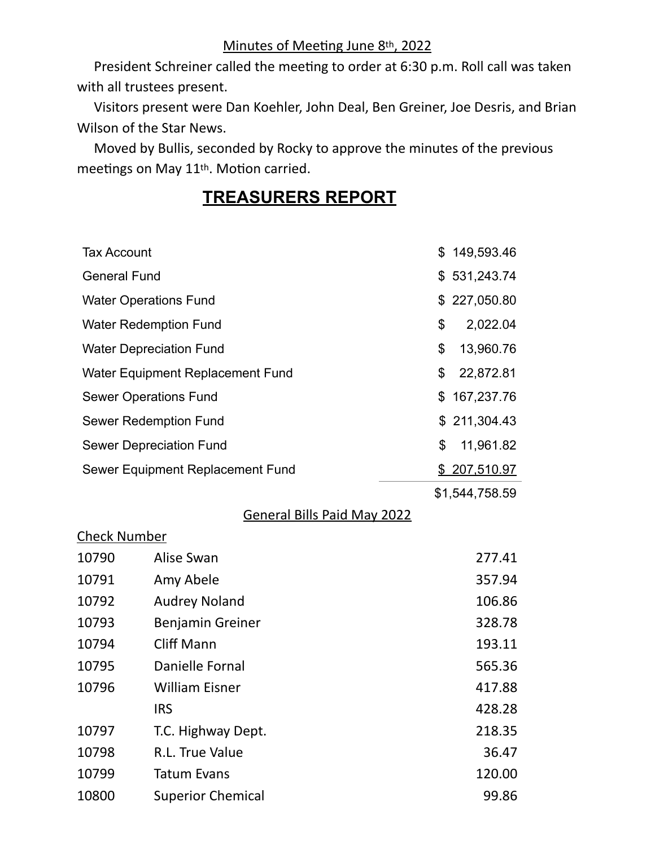President Schreiner called the meeting to order at 6:30 p.m. Roll call was taken with all trustees present.

 Visitors present were Dan Koehler, John Deal, Ben Greiner, Joe Desris, and Brian Wilson of the Star News.

 Moved by Bullis, seconded by Rocky to approve the minutes of the previous meetings on May 11<sup>th</sup>. Motion carried.

## **TREASURERS REPORT**

| <b>Tax Account</b>               |                                    | \$<br>149,593.46 |
|----------------------------------|------------------------------------|------------------|
| <b>General Fund</b>              |                                    | \$<br>531,243.74 |
|                                  | <b>Water Operations Fund</b>       | \$<br>227,050.80 |
|                                  | <b>Water Redemption Fund</b>       | \$<br>2,022.04   |
|                                  | <b>Water Depreciation Fund</b>     | \$<br>13,960.76  |
|                                  | Water Equipment Replacement Fund   | \$<br>22,872.81  |
|                                  | <b>Sewer Operations Fund</b>       | \$<br>167,237.76 |
|                                  | <b>Sewer Redemption Fund</b>       | \$211,304.43     |
|                                  | <b>Sewer Depreciation Fund</b>     | \$<br>11,961.82  |
| Sewer Equipment Replacement Fund |                                    | \$ 207,510.97    |
|                                  |                                    | \$1,544,758.59   |
|                                  | <b>General Bills Paid May 2022</b> |                  |
| <u> Check Number</u>             |                                    |                  |
| 10790                            | Alise Swan                         | 277.41           |
| 10791                            | Amy Abele                          | 357.94           |
| 10792                            | <b>Audrey Noland</b>               | 106.86           |
| 10793                            | Benjamin Greiner                   | 328.78           |
| 10794                            | <b>Cliff Mann</b>                  | 193.11           |
| 10795                            | Danielle Fornal                    | 565.36           |
| 10796                            | <b>William Eisner</b>              | 417.88           |
|                                  | <b>IRS</b>                         | 428.28           |
| 10797                            | T.C. Highway Dept.                 | 218.35           |
| 10798                            | R.L. True Value                    | 36.47            |
| 10799                            | <b>Tatum Evans</b>                 | 120.00           |
| 10800                            | <b>Superior Chemical</b>           | 99.86            |
|                                  |                                    |                  |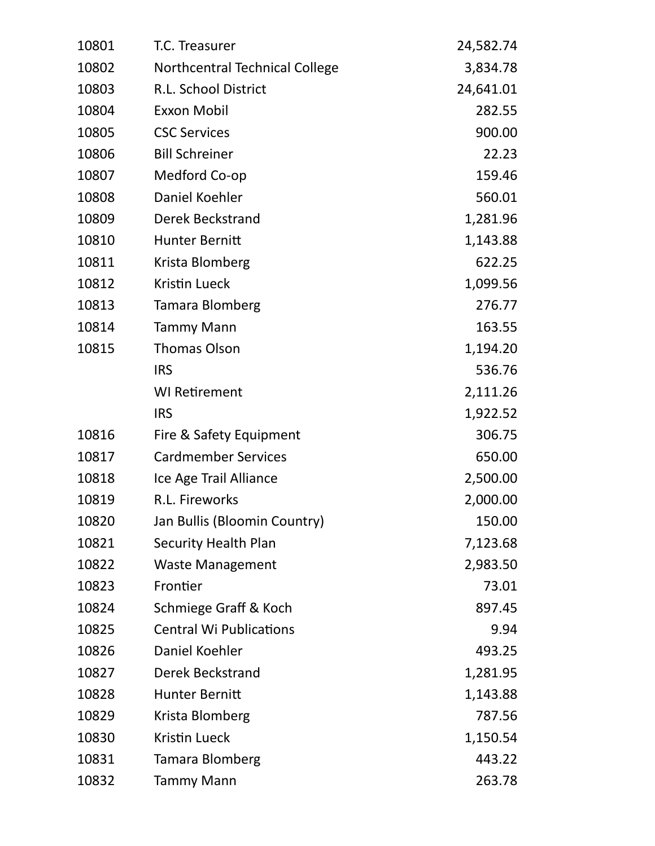| 10801 | T.C. Treasurer                 | 24,582.74 |
|-------|--------------------------------|-----------|
| 10802 | Northcentral Technical College | 3,834.78  |
| 10803 | R.L. School District           | 24,641.01 |
| 10804 | <b>Exxon Mobil</b>             | 282.55    |
| 10805 | <b>CSC Services</b>            | 900.00    |
| 10806 | <b>Bill Schreiner</b>          | 22.23     |
| 10807 | Medford Co-op                  | 159.46    |
| 10808 | Daniel Koehler                 | 560.01    |
| 10809 | <b>Derek Beckstrand</b>        | 1,281.96  |
| 10810 | Hunter Bernitt                 | 1,143.88  |
| 10811 | Krista Blomberg                | 622.25    |
| 10812 | <b>Kristin Lueck</b>           | 1,099.56  |
| 10813 | <b>Tamara Blomberg</b>         | 276.77    |
| 10814 | <b>Tammy Mann</b>              | 163.55    |
| 10815 | <b>Thomas Olson</b>            | 1,194.20  |
|       | <b>IRS</b>                     | 536.76    |
|       | <b>WI Retirement</b>           | 2,111.26  |
|       | <b>IRS</b>                     | 1,922.52  |
| 10816 | Fire & Safety Equipment        | 306.75    |
| 10817 | <b>Cardmember Services</b>     | 650.00    |
| 10818 | Ice Age Trail Alliance         | 2,500.00  |
| 10819 | R.L. Fireworks                 | 2,000.00  |
| 10820 | Jan Bullis (Bloomin Country)   | 150.00    |
| 10821 | Security Health Plan           | 7,123.68  |
| 10822 | <b>Waste Management</b>        | 2,983.50  |
| 10823 | Frontier                       | 73.01     |
| 10824 | Schmiege Graff & Koch          | 897.45    |
| 10825 | <b>Central Wi Publications</b> | 9.94      |
| 10826 | Daniel Koehler                 | 493.25    |
| 10827 | <b>Derek Beckstrand</b>        | 1,281.95  |
| 10828 | <b>Hunter Bernitt</b>          | 1,143.88  |
| 10829 | Krista Blomberg                | 787.56    |
| 10830 | <b>Kristin Lueck</b>           | 1,150.54  |
| 10831 | Tamara Blomberg                | 443.22    |
| 10832 | <b>Tammy Mann</b>              | 263.78    |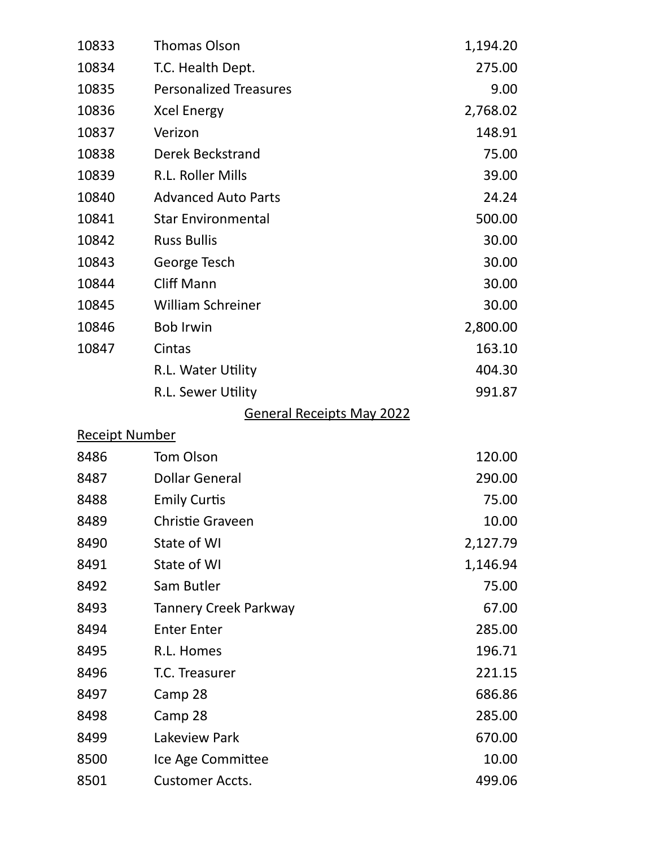| 10833                 | <b>Thomas Olson</b>              | 1,194.20 |
|-----------------------|----------------------------------|----------|
| 10834                 | T.C. Health Dept.                | 275.00   |
| 10835                 | <b>Personalized Treasures</b>    | 9.00     |
| 10836                 | <b>Xcel Energy</b>               | 2,768.02 |
| 10837                 | Verizon                          | 148.91   |
| 10838                 | <b>Derek Beckstrand</b>          |          |
| 10839                 | R.L. Roller Mills                | 39.00    |
| 10840                 | <b>Advanced Auto Parts</b>       | 24.24    |
| 10841                 | <b>Star Environmental</b>        | 500.00   |
| 10842                 | <b>Russ Bullis</b>               | 30.00    |
| 10843                 | George Tesch                     | 30.00    |
| 10844                 | <b>Cliff Mann</b>                | 30.00    |
| 10845                 | <b>William Schreiner</b>         | 30.00    |
| 10846                 | <b>Bob Irwin</b>                 | 2,800.00 |
| 10847                 | Cintas                           | 163.10   |
|                       | R.L. Water Utility               | 404.30   |
|                       | R.L. Sewer Utility               | 991.87   |
|                       | <b>General Receipts May 2022</b> |          |
| <b>Receipt Number</b> |                                  |          |
| 8486                  | <b>Tom Olson</b>                 | 120.00   |
| 8487                  | <b>Dollar General</b>            | 290.00   |
| 8488                  | <b>Emily Curtis</b>              | 75.00    |
| 8489                  | <b>Christie Graveen</b>          | 10.00    |
| 8490                  | State of WI                      | 2,127.79 |
| 8491                  | State of WI                      | 1,146.94 |
| 8492                  | Sam Butler                       | 75.00    |
| 8493                  | <b>Tannery Creek Parkway</b>     | 67.00    |
| 8494                  | <b>Enter Enter</b>               | 285.00   |
| 8495                  | R.L. Homes                       | 196.71   |
| 8496                  | T.C. Treasurer                   | 221.15   |
| 8497                  | Camp 28                          | 686.86   |
| 8498                  | Camp 28                          | 285.00   |
| 8499                  | Lakeview Park                    | 670.00   |
| 8500                  | Ice Age Committee                | 10.00    |
| 8501                  | <b>Customer Accts.</b>           | 499.06   |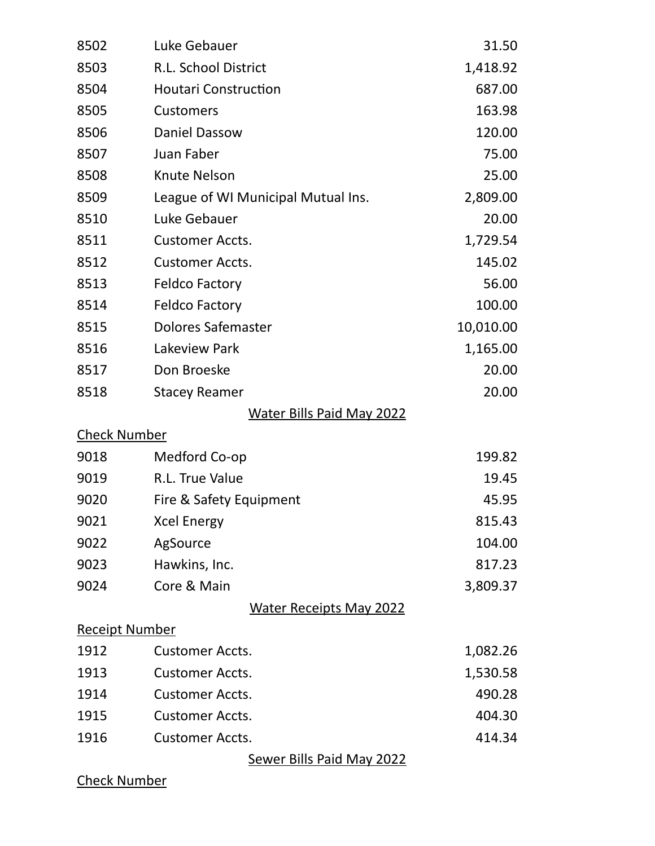| 8502                  | Luke Gebauer                       | 31.50     |
|-----------------------|------------------------------------|-----------|
| 8503                  | R.L. School District               | 1,418.92  |
| 8504                  | <b>Houtari Construction</b>        | 687.00    |
| 8505                  | <b>Customers</b>                   | 163.98    |
| 8506                  | <b>Daniel Dassow</b>               | 120.00    |
| 8507                  | Juan Faber                         | 75.00     |
| 8508                  | <b>Knute Nelson</b>                | 25.00     |
| 8509                  | League of WI Municipal Mutual Ins. | 2,809.00  |
| 8510                  | Luke Gebauer                       | 20.00     |
| 8511                  | <b>Customer Accts.</b>             | 1,729.54  |
| 8512                  | <b>Customer Accts.</b>             | 145.02    |
| 8513                  | <b>Feldco Factory</b>              | 56.00     |
| 8514                  | <b>Feldco Factory</b>              | 100.00    |
| 8515                  | Dolores Safemaster                 | 10,010.00 |
| 8516                  | Lakeview Park                      | 1,165.00  |
| 8517                  | Don Broeske                        | 20.00     |
| 8518                  | <b>Stacey Reamer</b>               | 20.00     |
|                       | <b>Water Bills Paid May 2022</b>   |           |
| <b>Check Number</b>   |                                    |           |
| 9018                  | Medford Co-op                      | 199.82    |
| 9019                  | R.L. True Value                    | 19.45     |
| 9020                  | Fire & Safety Equipment            | 45.95     |
| 9021                  | <b>Xcel Energy</b>                 | 815.43    |
| 9022                  | AgSource                           | 104.00    |
| 9023                  | Hawkins, Inc.                      | 817.23    |
| 9024                  | Core & Main                        | 3,809.37  |
|                       | <b>Water Receipts May 2022</b>     |           |
| <b>Receipt Number</b> |                                    |           |
| 1912                  | <b>Customer Accts.</b>             | 1,082.26  |
| 1913                  | <b>Customer Accts.</b>             | 1,530.58  |
| 1914                  | <b>Customer Accts.</b>             | 490.28    |
| 1915                  | <b>Customer Accts.</b>             | 404.30    |
| 1916                  | <b>Customer Accts.</b>             | 414.34    |
|                       | <b>Sewer Bills Paid May 2022</b>   |           |

Check Number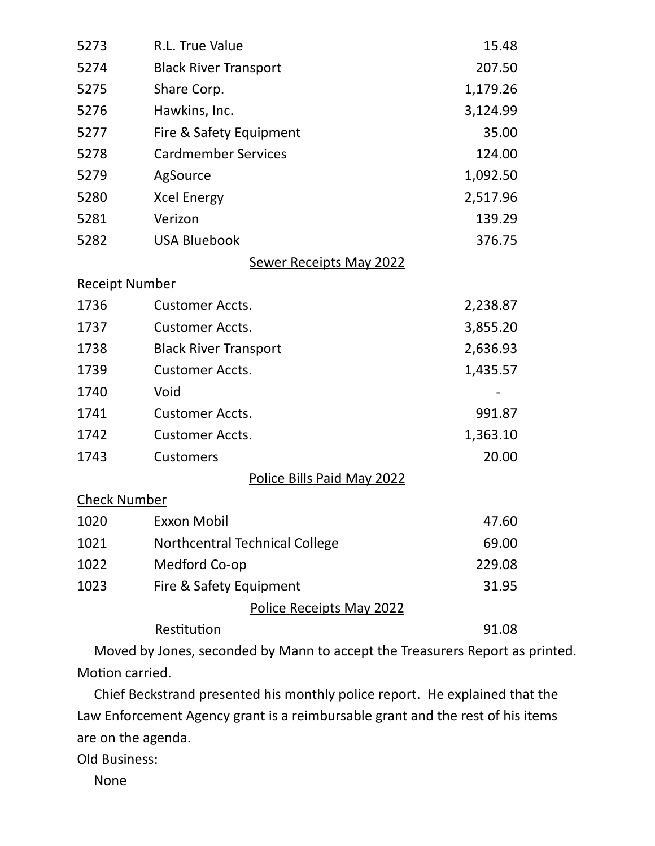| 5273                  | R.L. True Value                 | 15.48    |
|-----------------------|---------------------------------|----------|
| 5274                  | <b>Black River Transport</b>    | 207.50   |
| 5275                  | Share Corp.                     | 1,179.26 |
| 5276                  | Hawkins, Inc.                   | 3,124.99 |
| 5277                  | Fire & Safety Equipment         | 35.00    |
| 5278                  | <b>Cardmember Services</b>      | 124.00   |
| 5279                  | AgSource                        | 1,092.50 |
| 5280                  | <b>Xcel Energy</b>              | 2,517.96 |
| 5281                  | Verizon                         | 139.29   |
| 5282                  | <b>USA Bluebook</b>             | 376.75   |
|                       | <b>Sewer Receipts May 2022</b>  |          |
| <b>Receipt Number</b> |                                 |          |
| 1736                  | <b>Customer Accts.</b>          | 2,238.87 |
| 1737                  | <b>Customer Accts.</b>          | 3,855.20 |
| 1738                  | <b>Black River Transport</b>    | 2,636.93 |
| 1739                  | <b>Customer Accts.</b>          | 1,435.57 |
| 1740                  | Void                            |          |
| 1741                  | <b>Customer Accts.</b>          | 991.87   |
| 1742                  | <b>Customer Accts.</b>          | 1,363.10 |
| 1743                  | <b>Customers</b>                | 20.00    |
|                       | Police Bills Paid May 2022      |          |
| <b>Check Number</b>   |                                 |          |
| 1020                  | <b>Exxon Mobil</b>              | 47.60    |
| 1021                  | Northcentral Technical College  | 69.00    |
| 1022                  | Medford Co-op                   | 229.08   |
| 1023                  | Fire & Safety Equipment         | 31.95    |
|                       | <b>Police Receipts May 2022</b> |          |
|                       | Restitution                     | 91.08    |

 Moved by Jones, seconded by Mann to accept the Treasurers Report as printed. Motion carried.

 Chief Beckstrand presented his monthly police report. He explained that the Law Enforcement Agency grant is a reimbursable grant and the rest of his items are on the agenda.

Old Business:

None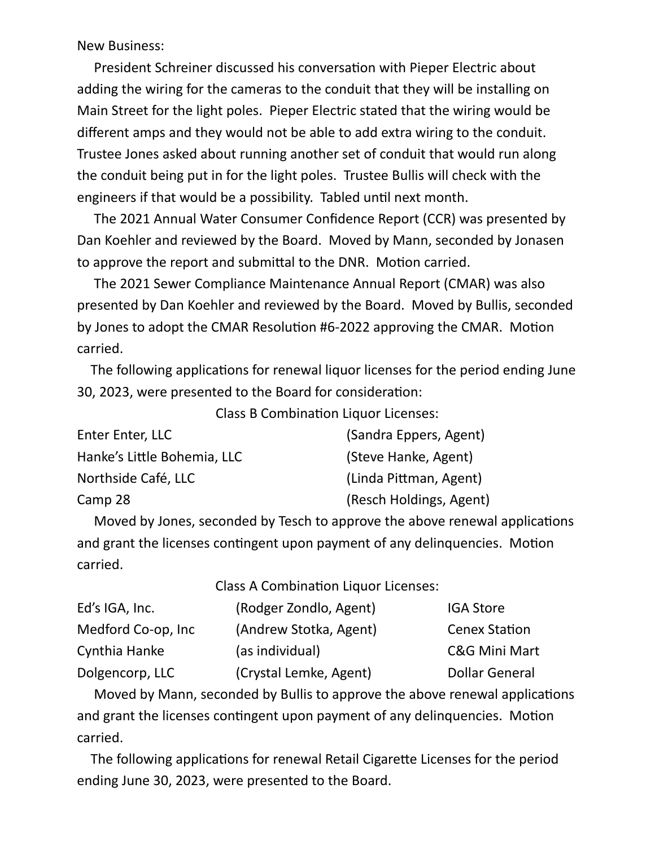New Business:

President Schreiner discussed his conversation with Pieper Electric about adding the wiring for the cameras to the conduit that they will be installing on Main Street for the light poles. Pieper Electric stated that the wiring would be different amps and they would not be able to add extra wiring to the conduit. Trustee Jones asked about running another set of conduit that would run along the conduit being put in for the light poles. Trustee Bullis will check with the engineers if that would be a possibility. Tabled until next month.

 The 2021 Annual Water Consumer Confidence Report (CCR) was presented by Dan Koehler and reviewed by the Board. Moved by Mann, seconded by Jonasen to approve the report and submittal to the DNR. Motion carried.

 The 2021 Sewer Compliance Maintenance Annual Report (CMAR) was also presented by Dan Koehler and reviewed by the Board. Moved by Bullis, seconded by Jones to adopt the CMAR Resolution #6-2022 approving the CMAR. Motion carried.

The following applications for renewal liquor licenses for the period ending June 30, 2023, were presented to the Board for consideration:

Class B Combination Liquor Licenses:

| Enter Enter, LLC            | (Sandra Eppers, Agent)  |
|-----------------------------|-------------------------|
| Hanke's Little Bohemia, LLC | (Steve Hanke, Agent)    |
| Northside Café, LLC         | (Linda Pittman, Agent)  |
| Camp 28                     | (Resch Holdings, Agent) |

Moved by Jones, seconded by Tesch to approve the above renewal applications and grant the licenses contingent upon payment of any delinquencies. Motion carried.

Class A Combination Liquor Licenses:

| Ed's IGA, Inc.     | (Rodger Zondlo, Agent) | <b>IGA Store</b>      |
|--------------------|------------------------|-----------------------|
| Medford Co-op, Inc | (Andrew Stotka, Agent) | <b>Cenex Station</b>  |
| Cynthia Hanke      | (as individual)        | C&G Mini Mart         |
| Dolgencorp, LLC    | (Crystal Lemke, Agent) | <b>Dollar General</b> |

Moved by Mann, seconded by Bullis to approve the above renewal applications and grant the licenses contingent upon payment of any delinquencies. Motion carried.

The following applications for renewal Retail Cigarette Licenses for the period ending June 30, 2023, were presented to the Board.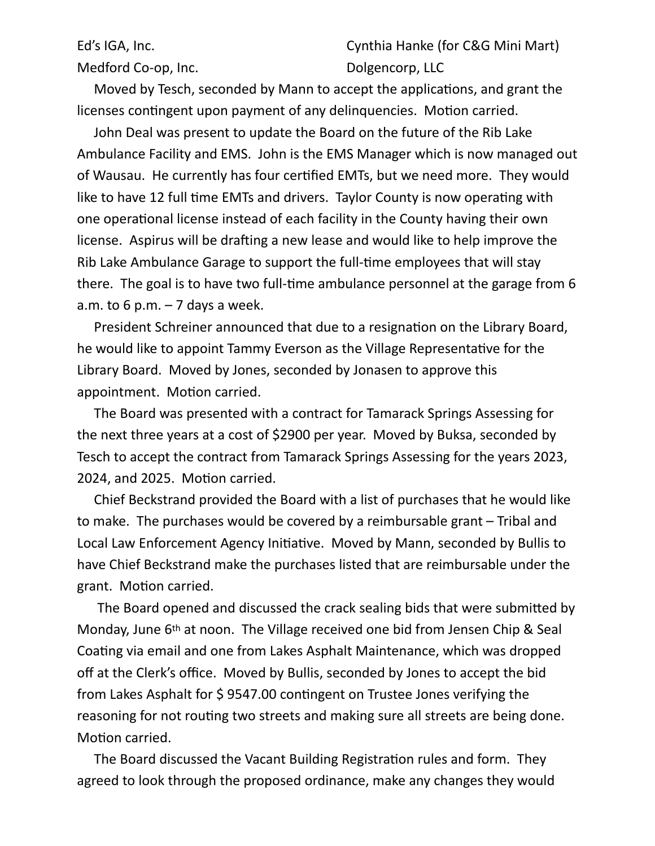Medford Co-op, Inc. The Collegencorp, LLC

Ed's IGA, Inc. **Ed's IGA, Inc.** Cynthia Hanke (for C&G Mini Mart)

Moved by Tesch, seconded by Mann to accept the applications, and grant the licenses contingent upon payment of any delinquencies. Motion carried.

 John Deal was present to update the Board on the future of the Rib Lake Ambulance Facility and EMS. John is the EMS Manager which is now managed out of Wausau. He currently has four certified EMTs, but we need more. They would like to have 12 full time EMTs and drivers. Taylor County is now operating with one operational license instead of each facility in the County having their own license. Aspirus will be drafting a new lease and would like to help improve the Rib Lake Ambulance Garage to support the full-time employees that will stay there. The goal is to have two full-time ambulance personnel at the garage from 6 a.m. to 6 p.m.  $-7$  days a week.

President Schreiner announced that due to a resignation on the Library Board, he would like to appoint Tammy Everson as the Village Representative for the Library Board. Moved by Jones, seconded by Jonasen to approve this appointment. Motion carried.

 The Board was presented with a contract for Tamarack Springs Assessing for the next three years at a cost of \$2900 per year. Moved by Buksa, seconded by Tesch to accept the contract from Tamarack Springs Assessing for the years 2023, 2024, and 2025. Motion carried.

 Chief Beckstrand provided the Board with a list of purchases that he would like to make. The purchases would be covered by a reimbursable grant – Tribal and Local Law Enforcement Agency Initiative. Moved by Mann, seconded by Bullis to have Chief Beckstrand make the purchases listed that are reimbursable under the grant. Motion carried.

The Board opened and discussed the crack sealing bids that were submitted by Monday, June 6th at noon. The Village received one bid from Jensen Chip & Seal Coating via email and one from Lakes Asphalt Maintenance, which was dropped off at the Clerk's office. Moved by Bullis, seconded by Jones to accept the bid from Lakes Asphalt for  $$9547.00$  contingent on Trustee Jones verifying the reasoning for not routing two streets and making sure all streets are being done. Motion carried.

The Board discussed the Vacant Building Registration rules and form. They agreed to look through the proposed ordinance, make any changes they would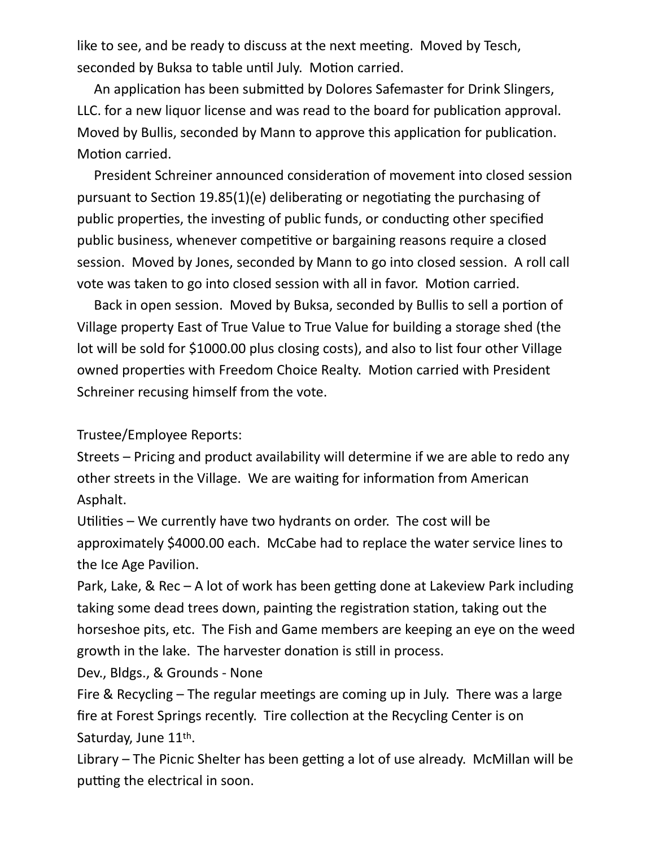like to see, and be ready to discuss at the next meeting. Moved by Tesch, seconded by Buksa to table until July. Motion carried.

An application has been submitted by Dolores Safemaster for Drink Slingers, LLC. for a new liquor license and was read to the board for publication approval. Moved by Bullis, seconded by Mann to approve this application for publication. Motion carried.

President Schreiner announced consideration of movement into closed session pursuant to Section 19.85(1)(e) deliberating or negotiating the purchasing of public properties, the investing of public funds, or conducting other specified public business, whenever competitive or bargaining reasons require a closed session. Moved by Jones, seconded by Mann to go into closed session. A roll call vote was taken to go into closed session with all in favor. Motion carried.

Back in open session. Moved by Buksa, seconded by Bullis to sell a portion of Village property East of True Value to True Value for building a storage shed (the lot will be sold for \$1000.00 plus closing costs), and also to list four other Village owned properties with Freedom Choice Realty. Motion carried with President Schreiner recusing himself from the vote.

Trustee/Employee Reports:

Streets – Pricing and product availability will determine if we are able to redo any other streets in the Village. We are waiting for information from American Asphalt.

Utilities – We currently have two hydrants on order. The cost will be approximately \$4000.00 each. McCabe had to replace the water service lines to the Ice Age Pavilion.

Park, Lake, & Rec – A lot of work has been getting done at Lakeview Park including taking some dead trees down, painting the registration station, taking out the horseshoe pits, etc. The Fish and Game members are keeping an eye on the weed growth in the lake. The harvester donation is still in process.

Dev., Bldgs., & Grounds - None

Fire & Recycling  $-$  The regular meetings are coming up in July. There was a large fire at Forest Springs recently. Tire collection at the Recycling Center is on Saturday, June 11th.

Library  $-$  The Picnic Shelter has been getting a lot of use already. McMillan will be putting the electrical in soon.